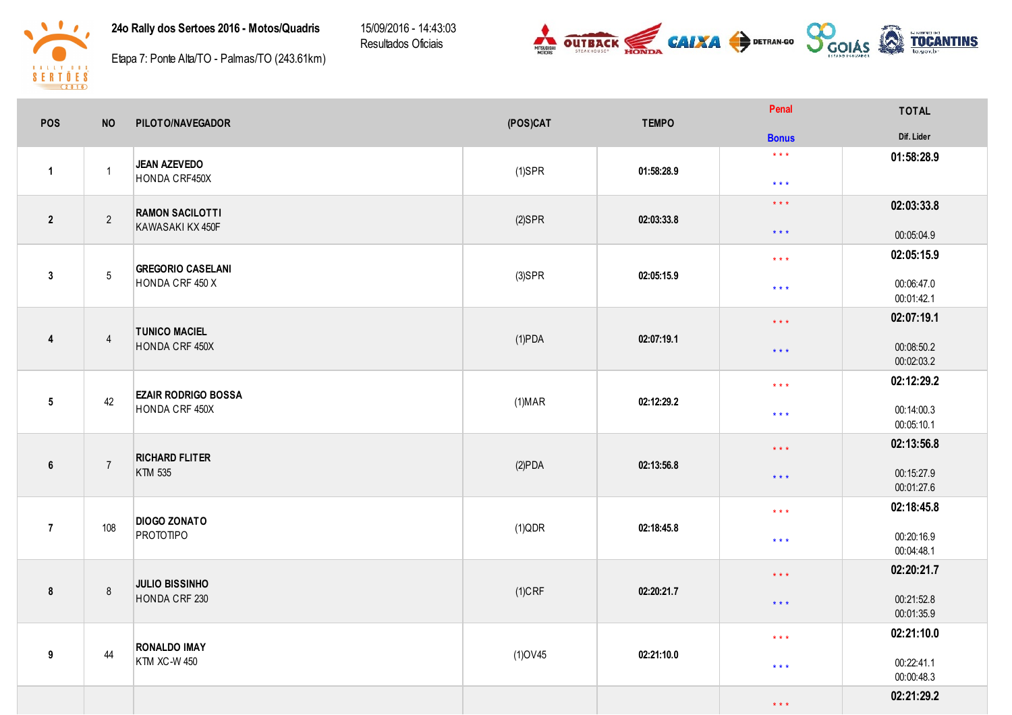24o Rally dos Sertoes 2016 - Motos/Quadris

15/09/2016 - 14:43:03 Resultados Oficiais





Etapa 7: Ponte Alta/TO - Palmas/TO (243.61km)

| POS                     | <b>NO</b>       | PILOTO/NAVEGADOR                            | (POS)CAT       | <b>TEMPO</b> | Penal                   | <b>TOTAL</b>             |
|-------------------------|-----------------|---------------------------------------------|----------------|--------------|-------------------------|--------------------------|
|                         |                 |                                             |                |              | <b>Bonus</b>            | Dif. Lider               |
|                         |                 | JEAN AZEVEDO<br>HONDA CRF450X               |                |              | $\star\star\star$       | 01:58:28.9               |
| $\mathbf{1}$            | $\overline{1}$  |                                             | $(1)$ SPR      | 01:58:28.9   | $\star$ $\star$ $\star$ |                          |
|                         |                 | <b>RAMON SACILOTTI</b>                      |                |              | $\star$ $\star$ $\star$ | 02:03:33.8               |
| $\overline{2}$          | $\overline{2}$  | KAWASAKI KX 450F                            | $(2)$ SPR      | 02:03:33.8   | $\star$ $\star$ $\star$ | 00:05:04.9               |
|                         |                 |                                             |                |              | $\star\star\star$       | 02:05:15.9               |
| $\mathbf{3}$            | $5\phantom{.0}$ | <b>GREGORIO CASELANI</b><br>HONDA CRF 450 X | $(3)$ SPR      | 02:05:15.9   | $\star$ $\star$ $\star$ | 00:06:47.0<br>00:01:42.1 |
|                         |                 |                                             |                |              | $\star$ $\star$ $\star$ | 02:07:19.1               |
| $\overline{\mathbf{4}}$ | $\overline{4}$  | <b>TUNICO MACIEL</b><br>HONDA CRF 450X      | $(1)$ PDA      | 02:07:19.1   | $\star$ $\star$ $\star$ | 00:08:50.2<br>00:02:03.2 |
|                         |                 | <b>EZAIR RODRIGO BOSSA</b>                  |                |              | $\star$ $\star$ $\star$ | 02:12:29.2               |
| $5\phantom{.0}$         | 42              | HONDA CRF 450X                              | (1) <b>MAR</b> | 02:12:29.2   | $\star$ $\star$ $\star$ | 00:14:00.3<br>00:05:10.1 |
|                         |                 | <b>RICHARD FLITER</b>                       |                |              | $\star$ $\star$ $\star$ | 02:13:56.8               |
| 6                       | $\overline{7}$  | KTM 535                                     | (2)PDA         | 02:13:56.8   | $\star$ $\star$ $\star$ | 00:15:27.9<br>00:01:27.6 |
|                         |                 | <b>DIOGO ZONATO</b>                         |                |              | $\star$ $\star$ $\star$ | 02:18:45.8               |
| $\overline{7}$          | 108             | <b>PROTOTIPO</b>                            | $(1)$ QDR      | 02:18:45.8   | $\star$ $\star$ $\star$ | 00:20:16.9<br>00:04:48.1 |
|                         |                 | <b>JULIO BISSINHO</b>                       |                |              | $\star$ $\star$ $\star$ | 02:20:21.7               |
| 8                       | 8               | HONDA CRF 230                               | $(1)$ CRF      | 02:20:21.7   | $\star$ $\star$ $\star$ | 00:21:52.8<br>00:01:35.9 |
|                         |                 | <b>RONALDO IMAY</b><br>44<br>KTM XC-W 450   | $(1)$ OV45     | 02:21:10.0   | $\star$ $\star$ $\star$ | 02:21:10.0               |
| 9                       |                 |                                             |                |              | $\star$ $\star$ $\star$ | 00:22:41.1<br>00:00:48.3 |
|                         |                 |                                             |                |              | $\star$ $\star$ $\star$ | 02:21:29.2               |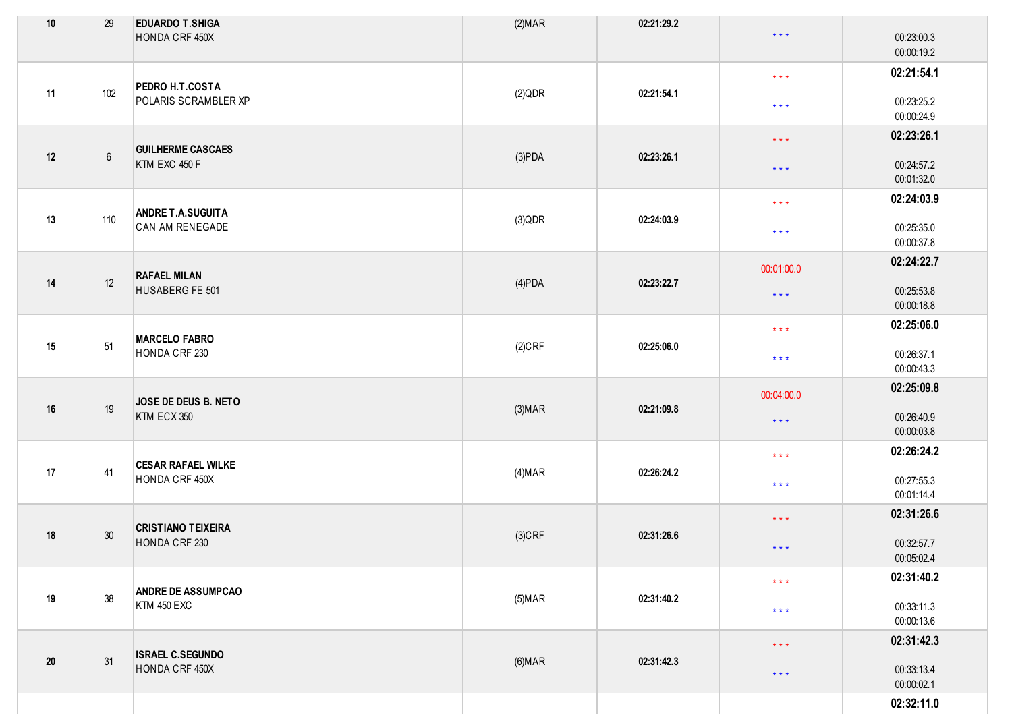| $10$   | 29              | <b>EDUARDO T.SHIGA</b><br>HONDA CRF 450X    | (2) <b>MAR</b> | 02:21:29.2 | $\star$ $\star$ $\star$                            | 00:23:00.3<br>00:00:19.2               |
|--------|-----------------|---------------------------------------------|----------------|------------|----------------------------------------------------|----------------------------------------|
| 11     | 102             | PEDRO H.T.COSTA<br>POLARIS SCRAMBLER XP     | (2)QDR         | 02:21:54.1 | $\star\star\star$<br>$\star$ $\star$ $\star$       | 02:21:54.1<br>00:23:25.2               |
|        |                 |                                             |                |            | $\star$ $\star$ $\star$                            | 00:00:24.9<br>02:23:26.1               |
| 12     | $6\overline{6}$ | <b>GUILHERME CASCAES</b><br>KTM EXC 450 F   | (3)PDA         | 02:23:26.1 | $\star$ $\star$ $\star$                            | 00:24:57.2<br>00:01:32.0               |
| 13     | 110             | <b>ANDRE T.A.SUGUITA</b><br>CAN AM RENEGADE | $(3)$ QDR      | 02:24:03.9 | $\star$ $\star$ $\star$<br>$\star$ $\star$ $\star$ | 02:24:03.9<br>00:25:35.0<br>00:00:37.8 |
|        |                 |                                             |                |            | 00:01:00.0                                         | 02:24:22.7                             |
| 14     | 12              | <b>RAFAEL MILAN</b><br>HUSABERG FE 501      | $(4)$ PDA      | 02:23:22.7 | $\star$ $\star$ $\star$                            | 00:25:53.8<br>00:00:18.8               |
|        |                 | <b>MARCELO FABRO</b>                        |                |            | $\star\star\star$                                  | 02:25:06.0                             |
| 15     | 51              | HONDA CRF 230                               | $(2)$ CRF      | 02:25:06.0 | $\star$ $\star$ $\star$                            | 00:26:37.1<br>00:00:43.3               |
|        |                 | JOSE DE DEUS B. NETO                        |                |            | 00:04:00.0                                         | 02:25:09.8                             |
| $16\,$ | 19              | KTM ECX 350                                 | (3) <b>MAP</b> | 02:21:09.8 | $\star$ $\star$ $\star$                            | 00:26:40.9<br>00:00:03.8               |
|        |                 | <b>CESAR RAFAEL WILKE</b>                   |                |            | $\star$ $\star$ $\star$                            | 02:26:24.2                             |
| 17     | 41              | HONDA CRF 450X                              | (4) <b>MAR</b> | 02:26:24.2 | $\star$ $\star$ $\star$                            | 00:27:55.3<br>00:01:14.4               |
|        |                 | <b>CRISTIANO TEIXEIRA</b>                   |                |            | $\star\star\star$                                  | 02:31:26.6                             |
| 18     | 30              | HONDA CRF 230                               | $(3)$ CRF      | 02:31:26.6 | $\star$ $\star$ $\star$                            | 00:32:57.7<br>00:05:02.4               |
|        |                 | <b>ANDRE DE ASSUMPCAO</b>                   |                |            | $\star$ $\star$ $\star$                            | 02:31:40.2                             |
| 19     | 38              | <b>KTM 450 EXC</b>                          | $(5)$ MAR      | 02:31:40.2 | $\star$ $\star$ $\star$                            | 00:33:11.3<br>00:00:13.6               |
|        |                 | <b>ISRAEL C.SEGUNDO</b>                     |                |            | $\star$ $\star$ $\star$                            | 02:31:42.3                             |
| $20\,$ | 31              | HONDA CRF 450X                              | (6) <b>MAR</b> | 02:31:42.3 | $\star$ $\star$ $\star$                            | 00:33:13.4<br>00:00:02.1               |
|        |                 |                                             |                |            |                                                    | 02:32:11.0                             |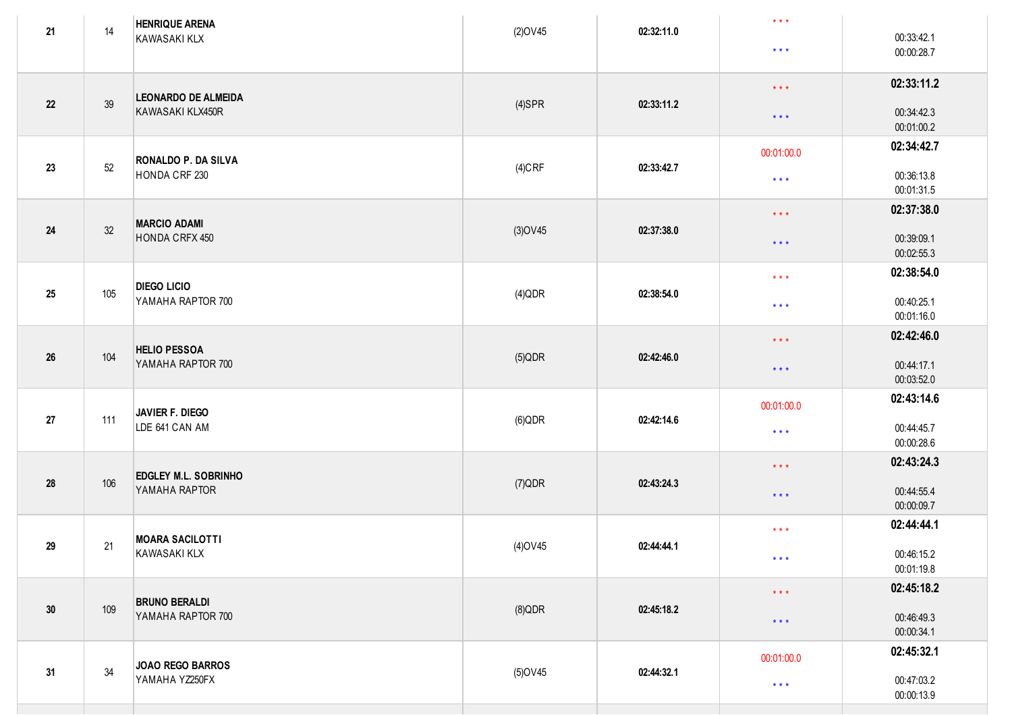| 21         | 14  | <b>HENRIQUE ARENA</b><br>KAWASAKI KLX | $(2)$ OV45 | 02:32:11.0 | $\star$ $\star$ $\star$ | 00:33:42.1               |
|------------|-----|---------------------------------------|------------|------------|-------------------------|--------------------------|
|            |     |                                       |            |            | $\star$ $\star$ $\star$ | 00:00:28.7               |
|            |     | <b>LEONARDO DE ALMEIDA</b>            |            |            | $\star$ $\star$ $\star$ | 02:33:11.2               |
| 22         | 39  | KAWASAKI KLX450R                      | $(4)$ SPR  | 02:33:11.2 | $\star$ $\star$ $\star$ | 00:34:42.3<br>00:01:00.2 |
| 23         | 52  | <b>RONALDO P. DA SILVA</b>            |            | 02:33:42.7 | 00:01:00.0              | 02:34:42.7               |
|            |     | HONDA CRF 230                         | $(4)$ CRF  |            | $\star\star\star$       | 00:36:13.8<br>00:01:31.5 |
|            |     | <b>MARCIO ADAMI</b>                   |            |            | $\star$ $\star$ $\star$ | 02:37:38.0               |
| 24         | 32  | HONDA CRFX 450                        | $(3)$ OV45 | 02:37:38.0 | $\star$ $\star$ $\star$ | 00:39:09.1<br>00:02:55.3 |
|            |     | <b>DIEGO LICIO</b>                    |            |            | $\star$ $\star$ $\star$ | 02:38:54.0               |
| 25         | 105 | YAMAHA RAPTOR 700                     | $(4)$ QDR  | 02:38:54.0 | $\star \star \star$     | 00:40:25.1<br>00:01:16.0 |
|            |     | <b>HELIO PESSOA</b>                   |            |            | $\star$ $\star$ $\star$ | 02:42:46.0               |
| $26\,$     | 104 | YAMAHA RAPTOR 700                     | $(5)$ QDR  | 02:42:46.0 | $\star$ $\star$ $\star$ | 00:44:17.1<br>00:03:52.0 |
|            |     | JAVIER F. DIEGO                       |            |            | 00:01:00.0              | 02:43:14.6               |
| 27         | 111 | LDE 641 CAN AM                        | $(6)$ QDR  | 02:42:14.6 | $\star$ $\star$ $\star$ | 00:44:45.7<br>00:00:28.6 |
|            |     | <b>EDGLEY M.L. SOBRINHO</b>           |            |            | $\star$ $\star$ $\star$ | 02:43:24.3               |
| ${\bf 28}$ | 106 | YAMAHA RAPTOR                         | $(7)$ QDR  | 02:43:24.3 | $\star$ $\star$ $\star$ | 00:44:55.4<br>00:00:09.7 |
|            |     | <b>MOARA SACILOTTI</b>                |            |            | $\star$ $\star$ $\star$ | 02:44:44.1               |
| 29         | 21  | KAWASAKI KLX                          | $(4)$ OV45 | 02:44:44.1 | $* * *$                 | 00:46:15.2<br>00:01:19.8 |
|            |     | <b>BRUNO BERALDI</b>                  |            |            | $\star$ $\star$ $\star$ | 02:45:18.2               |
| $30\,$     | 109 | YAMAHA RAPTOR 700                     | $(8)$ QDR  | 02:45:18.2 | $\star$ $\star$ $\star$ | 00:46:49.3<br>00:00:34.1 |
|            |     | JOAO REGO BARROS                      |            |            | 00:01:00.0              | 02:45:32.1               |
| 31         | 34  | YAMAHA YZ250FX                        | $(5)$ OV45 | 02:44:32.1 | $\star$ $\star$ $\star$ | 00:47:03.2<br>00:00:13.9 |
|            |     |                                       |            |            |                         |                          |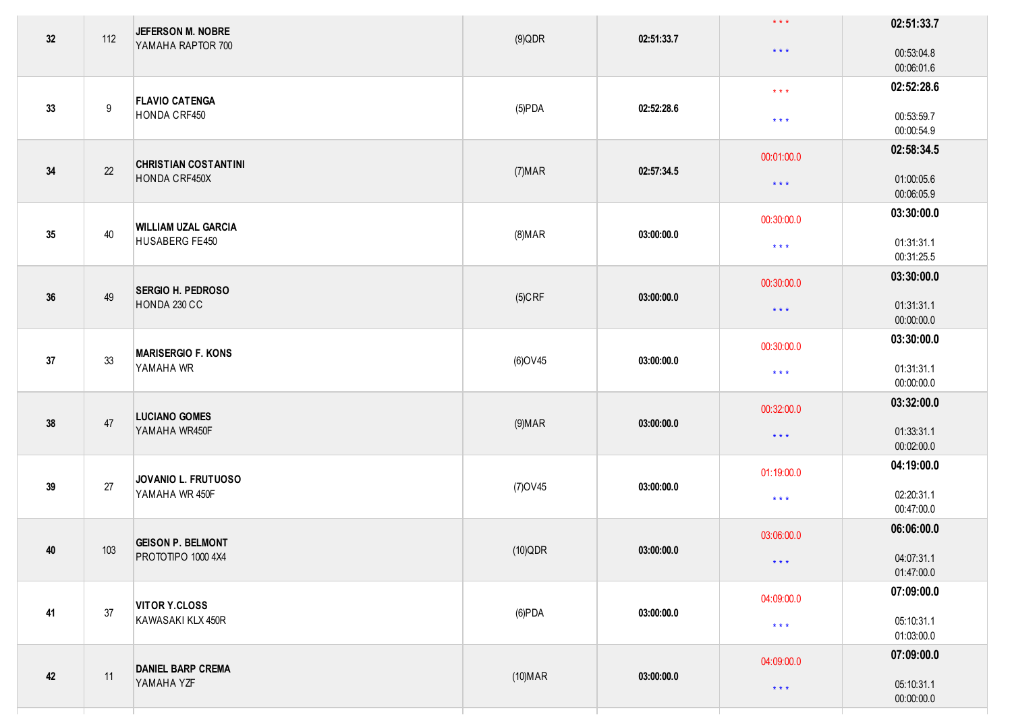| 32     | 112              | JEFERSON M. NOBRE                        | $(9)$ QDR      | 02:51:33.7 | $\star$ $\star$ $\star$ | 02:51:33.7               |
|--------|------------------|------------------------------------------|----------------|------------|-------------------------|--------------------------|
|        |                  | YAMAHA RAPTOR 700                        |                |            | $\star$ $\star$ $\star$ | 00:53:04.8<br>00:06:01.6 |
|        |                  | <b>FLAVIO CATENGA</b>                    |                |            | $\star$ $\star$ $\star$ | 02:52:28.6               |
| 33     | $\boldsymbol{9}$ | HONDA CRF450                             | $(5)$ PDA      | 02:52:28.6 | $\star$ $\star$ $\star$ | 00:53:59.7<br>00:00:54.9 |
|        |                  | <b>CHRISTIAN COSTANTINI</b>              |                |            | 00:01:00.0              | 02:58:34.5               |
| $34$   | 22               | HONDA CRF450X                            | (7) <b>MAR</b> | 02:57:34.5 | $\star$ $\star$ $\star$ | 01:00:05.6<br>00:06:05.9 |
|        |                  | <b>WILLIAM UZAL GARCIA</b>               |                |            | 00:30:00.0              | 03:30:00.0               |
| 35     | 40               | HUSABERG FE450                           | $(8)$ MAR      | 03:00:00.0 | $\star$ $\star$ $\star$ | 01:31:31.1<br>00:31:25.5 |
|        |                  |                                          |                |            | 00:30:00.0              | 03:30:00.0               |
| $36\,$ | 49               | <b>SERGIO H. PEDROSO</b><br>HONDA 230 CC | $(5)$ CRF      | 03:00:00.0 | $\star$ $\star$ $\star$ | 01:31:31.1<br>00:00:00.0 |
|        |                  | <b>MARISERGIO F. KONS</b>                |                |            | 00:30:00.0              | 03:30:00.0               |
| 37     | 33               | YAMAHA WR                                | (6) OV45       | 03:00:00.0 | $\star$ $\star$ $\star$ | 01:31:31.1<br>00:00:00.0 |
|        |                  | <b>LUCIANO GOMES</b>                     |                |            | 00:32:00.0              | 03:32:00.0               |
| $38\,$ | 47               | YAMAHA WR450F                            | $(9)$ MAR      | 03:00:00.0 | $\star$ $\star$ $\star$ | 01:33:31.1<br>00:02:00.0 |
|        |                  | JOVANIO L. FRUTUOSO                      |                |            | 01:19:00.0              | 04:19:00.0               |
| 39     | 27               | YAMAHA WR 450F                           | (7) OV 45      | 03:00:00.0 | $\star$ $\star$ $\star$ | 02:20:31.1<br>00:47:00.0 |
|        |                  | <b>GEISON P. BELMONT</b>                 |                |            | 03:06:00.0              | 06:06:00.0               |
| 40     | 103              | PROTOTIPO 1000 4X4                       | $(10)$ QDR     | 03:00:00.0 | $\star$ $\star$ $\star$ | 04:07:31.1<br>01:47:00.0 |
|        |                  | <b>VITOR Y.CLOSS</b>                     |                |            | 04:09:00.0              | 07:09:00.0               |
| 41     | 37               | KAWASAKI KLX 450R                        | $(6)$ PDA      | 03:00:00.0 | $\star\star\star$       | 05:10:31.1<br>01:03:00.0 |
|        |                  | <b>DANIEL BARP CREMA</b>                 |                |            | 04:09:00.0              | 07:09:00.0               |
| $42\,$ | 11               | YAMAHA YZF                               | $(10)$ MAR     | 03:00:00.0 | $\star$ $\star$ $\star$ | 05:10:31.1<br>00:00:00.0 |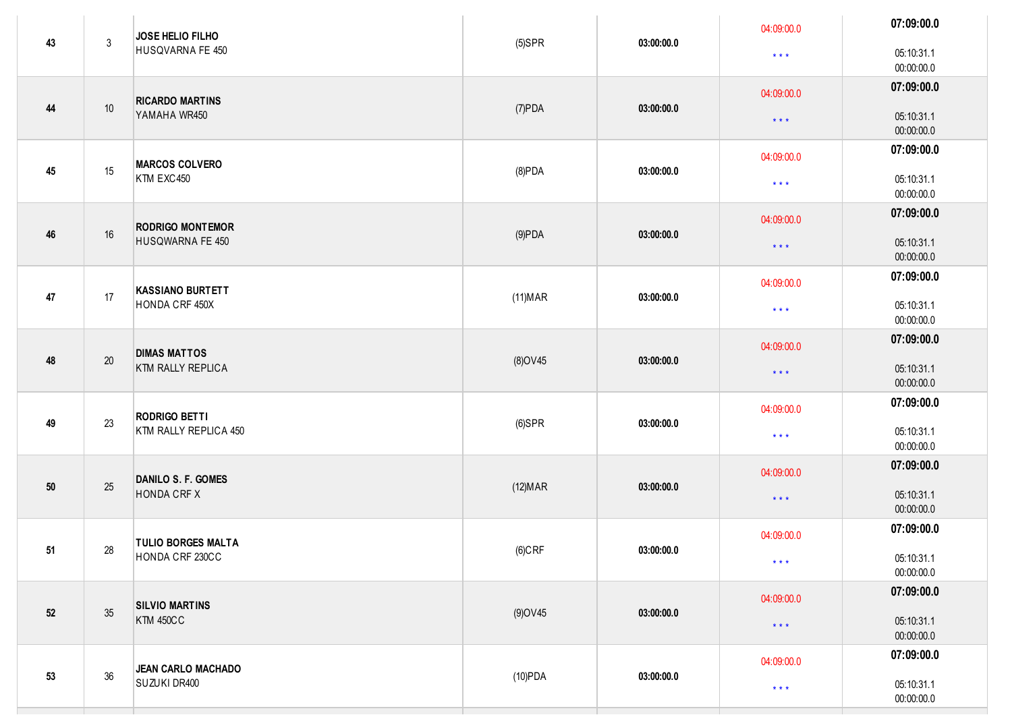| 43     | $\mathbf{3}$ | JOSE HELIO FILHO<br>HUSQVARNA FE 450            | $(5)$ SPR       | 03:00:00.0 | 04:09:00.0<br>$\star$ $\star$ $\star$ | 07:09:00.0<br>05:10:31.1<br>00:00:00.0 |
|--------|--------------|-------------------------------------------------|-----------------|------------|---------------------------------------|----------------------------------------|
| 44     | 10           | <b>RICARDO MARTINS</b><br>YAMAHA WR450          | $(7)$ PDA       | 03:00:00.0 | 04:09:00.0<br>$\star$ $\star$ $\star$ | 07:09:00.0<br>05:10:31.1<br>00:00:00.0 |
| 45     | 15           | <b>MARCOS COLVERO</b><br>KTM EXC450             | $(8)$ PDA       | 03:00:00.0 | 04:09:00.0<br>$\star$ $\star$ $\star$ | 07:09:00.0<br>05:10:31.1<br>00:00:00.0 |
| 46     | $16\,$       | <b>RODRIGO MONTEMOR</b><br>HUSQWARNA FE 450     | $(9)$ PDA       | 03:00:00.0 | 04:09:00.0<br>$\star$ $\star$ $\star$ | 07:09:00.0<br>05:10:31.1<br>00:00:00.0 |
| 47     | 17           | <b>KASSIANO BURTETT</b><br>HONDA CRF 450X       | $(11)$ MAR      | 03:00:00.0 | 04:09:00.0<br>$\star$ $\star$ $\star$ | 07:09:00.0<br>05:10:31.1<br>00:00:00.0 |
| 48     | 20           | <b>DIMAS MATTOS</b><br><b>KTM RALLY REPLICA</b> | (8) OV45        | 03:00:00.0 | 04:09:00.0<br>$\star$ $\star$ $\star$ | 07:09:00.0<br>05:10:31.1<br>00:00:00.0 |
| 49     | 23           | <b>RODRIGO BETTI</b><br>KTM RALLY REPLICA 450   | $(6)$ SPR       | 03:00:00.0 | 04:09:00.0<br>$\star$ $\star$ $\star$ | 07:09:00.0<br>05:10:31.1<br>00:00:00.0 |
| $50\,$ | 25           | DANILO S. F. GOMES<br><b>HONDA CRF X</b>        | (12) <b>MAR</b> | 03:00:00.0 | 04:09:00.0<br>$\star$ $\star$ $\star$ | 07:09:00.0<br>05:10:31.1<br>00:00:00.0 |
| 51     | 28           | <b>TULIO BORGES MALTA</b><br>HONDA CRF 230CC    | $(6)$ CRF       | 03:00:00.0 | 04:09:00.0<br>$\star$ $\star$ $\star$ | 07:09:00.0<br>05:10:31.1<br>00:00:00.0 |
| 52     | 35           | <b>SILVIO MARTINS</b><br><b>KTM 450CC</b>       | $(9)$ OV45      | 03:00:00.0 | 04:09:00.0<br>$\star$ $\star$ $\star$ | 07:09:00.0<br>05:10:31.1<br>00:00:00.0 |
| 53     | 36           | <b>JEAN CARLO MACHADO</b><br>SUZUKI DR400       | (10)PDA         | 03:00:00.0 | 04:09:00.0<br>$\star$ $\star$ $\star$ | 07:09:00.0<br>05:10:31.1<br>00:00:00.0 |